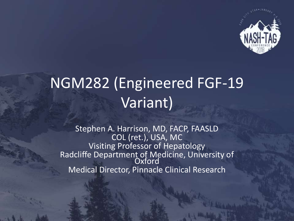

# NGM282 (Engineered FGF-19 Variant)

Stephen A. Harrison, MD, FACP, FAASLD COL (ret.), USA, MC Visiting Professor of Hepatology Radcliffe Department of Medicine, University of **Oxford** Medical Director, Pinnacle Clinical Research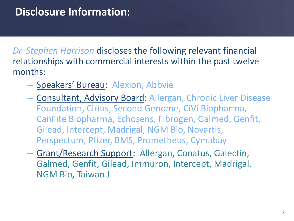#### **Disclosure Information:**

*Dr. Stephen Harrison* discloses the following relevant financial relationships with commercial interests within the past twelve months:

- Speakers' Bureau: Alexion, Abbvie
- Consultant, Advisory Board: Allergan, Chronic Liver Disease Foundation, Cirius, Second Genome, CiVi Biopharma, CanFite Biopharma, Echosens, Fibrogen, Galmed, Genfit, Gilead, Intercept, Madrigal, NGM Bio, Novartis, Perspectum, Pfizer, BMS, Prometheus, Cymabay
- Grant/Research Support: Allergan, Conatus, Galectin, Galmed, Genfit, Gilead, Immuron, Intercept, Madrigal, NGM Bio, Taiwan J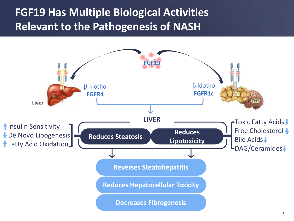#### **FGF19 Has Multiple Biological Activities Relevant to the Pathogenesis of NASH**

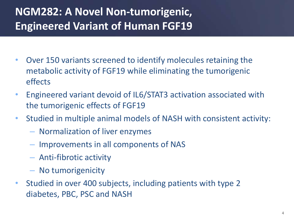### **NGM282: A Novel Non-tumorigenic, Engineered Variant of Human FGF19**

- Over 150 variants screened to identify molecules retaining the metabolic activity of FGF19 while eliminating the tumorigenic effects
- Engineered variant devoid of IL6/STAT3 activation associated with the tumorigenic effects of FGF19
- Studied in multiple animal models of NASH with consistent activity:
	- Normalization of liver enzymes
	- Improvements in all components of NAS
	- Anti-fibrotic activity
	- No tumorigenicity
- Studied in over 400 subjects, including patients with type 2 diabetes, PBC, PSC and NASH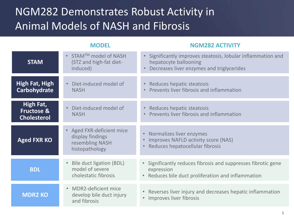#### NGM282 Demonstrates Robust Activity in Animal Models of NASH and Fibrosis

#### **BDL Aged FXR KO STAM** • Bile duct ligation (BDL) model of severe cholestatic fibrosis • Normalizes liver enzymes • Improves NAFLD activity score (NAS) • Reduces hepatocellular fibrosis • Significantly improves steatosis, lobular inflammation and hepatocyte ballooning • Decreases liver enzymes and triglycerides **MDR2 KO by the contract of the contract of the contract of the Reverses liver injury and decreases hepatic inflammation** • Improves liver fibrosis **High Fat, Fructose & Cholesterol** • Reduces hepatic steatosis • Prevents liver fibrosis and inflammation • Significantly reduces fibrosis and suppresses fibrotic gene expression • Reduces bile duct proliferation and inflammation • MDR2-deficient mice develop bile duct injury and fibrosis • Aged FXR‐deficient mice display findings resembling NASH histopathology • STAM<sup>TM</sup> model of NASH (STZ and high-fat dietinduced) • Diet-induced model of **NASH MODEL NGM282 ACTIVITY High Fat, High Carbohydrate** • Reduces hepatic steatosis • Prevents liver fibrosis and inflammation • Diet-induced model of **NASH**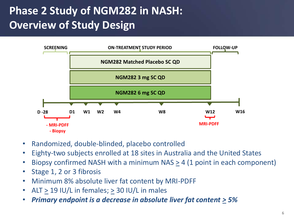### **Phase 2 Study of NGM282 in NASH: Overview of Study Design**



- Randomized, double-blinded, placebo controlled
- Eighty-two subjects enrolled at 18 sites in Australia and the United States
- Biopsy confirmed NASH with a minimum NAS  $\geq$  4 (1 point in each component)
- Stage 1, 2 or 3 fibrosis
- Minimum 8% absolute liver fat content by MRI-PDFF
- $ALT > 19$  IU/L in females;  $> 30$  IU/L in males
- *Primary endpoint is a decrease in absolute liver fat content > 5%*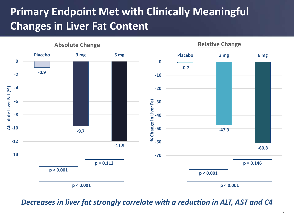### **Primary Endpoint Met with Clinically Meaningful Changes in Liver Fat Content**



#### *Decreases in liver fat strongly correlate with a reduction in ALT, AST and C4*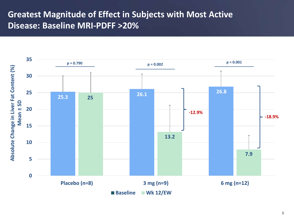#### **Greatest Magnitude of Effect in Subjects with Most Active Disease: Baseline MRI-PDFF >20%**

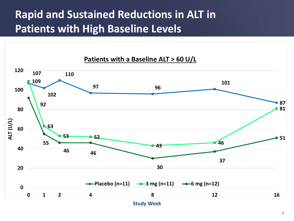#### **Rapid and Sustained Reductions in ALT in Patients with High Baseline Levels**

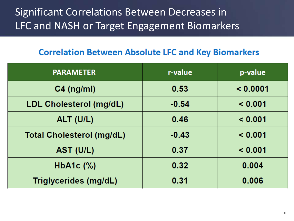#### Significant Correlations Between Decreases in LFC and NASH or Target Engagement Biomarkers

#### **Correlation Between Absolute LFC and Key Biomarkers**

| <b>PARAMETER</b>                 | r-value | p-value  |
|----------------------------------|---------|----------|
| $C4$ (ng/ml)                     | 0.53    | < 0.0001 |
| LDL Cholesterol (mg/dL)          | $-0.54$ | < 0.001  |
| ALT (U/L)                        | 0.46    | < 0.001  |
| <b>Total Cholesterol (mg/dL)</b> | $-0.43$ | < 0.001  |
| AST (U/L)                        | 0.37    | < 0.001  |
| HbA1c $(\%)$                     | 0.32    | 0.004    |
| Triglycerides (mg/dL)            | 0.31    | 0.006    |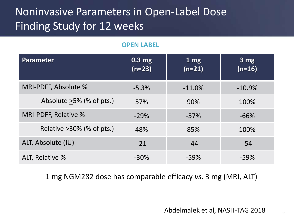### Noninvasive Parameters in Open-Label Dose Finding Study for 12 weeks

#### **OPEN LABEL**

| Parameter                    | 0.3 <sub>mg</sub><br>$(n=23)$ | 1 <sub>mg</sub><br>$(n=21)$ | $3 \text{ mg}$<br>$(n=16)$ |
|------------------------------|-------------------------------|-----------------------------|----------------------------|
| MRI-PDFF, Absolute %         | $-5.3%$                       | $-11.0\%$                   | $-10.9%$                   |
| Absolute $>5\%$ (% of pts.)  | 57%                           | 90%                         | 100%                       |
| MRI-PDFF, Relative %         | $-29%$                        | $-57%$                      | $-66%$                     |
| Relative $>30\%$ (% of pts.) | 48%                           | 85%                         | 100%                       |
| ALT, Absolute (IU)           | $-21$                         | $-44$                       | $-54$                      |
| ALT, Relative %              | $-30\%$                       | $-59%$                      | $-59%$                     |

1 mg NGM282 dose has comparable efficacy *vs*. 3 mg (MRI, ALT)

Abdelmalek et al, NASH-TAG 2018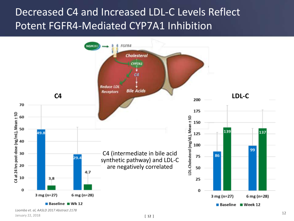#### Decreased C4 and Increased LDL-C Levels Reflect Potent FGFR4-Mediated CYP7A1 Inhibition

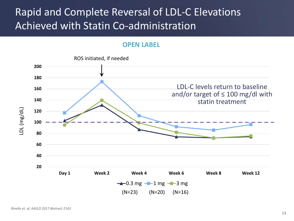#### Rapid and Complete Reversal of LDL-C Elevations Achieved with Statin Co-administration

#### **OPEN LABEL**

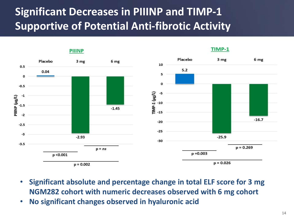### **Significant Decreases in PIIINP and TIMP-1 Supportive of Potential Anti-fibrotic Activity**



- **Significant absolute and percentage change in total ELF score for 3 mg NGM282 cohort with numeric decreases observed with 6 mg cohort**
- **No significant changes observed in hyaluronic acid**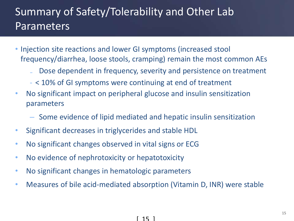### Summary of Safety/Tolerability and Other Lab Parameters

- Injection site reactions and lower GI symptoms (increased stool frequency/diarrhea, loose stools, cramping) remain the most common AEs
	- Dose dependent in frequency, severity and persistence on treatment
	- < 10% of GI symptoms were continuing at end of treatment
- No significant impact on peripheral glucose and insulin sensitization parameters
	- Some evidence of lipid mediated and hepatic insulin sensitization
- Significant decreases in triglycerides and stable HDL
- No significant changes observed in vital signs or ECG
- No evidence of nephrotoxicity or hepatotoxicity
- No significant changes in hematologic parameters
- Measures of bile acid-mediated absorption (Vitamin D, INR) were stable